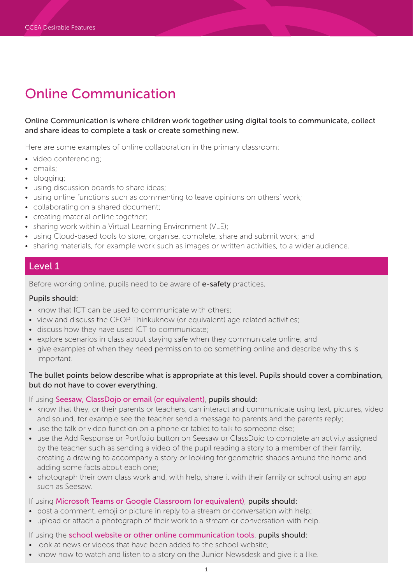### Online Communication is where children work together using digital tools to communicate, collect and share ideas to complete a task or create something new.

Here are some examples of online collaboration in the primary classroom:

- video conferencing;
- emails;
- blogging;
- using discussion boards to share ideas;
- using online functions such as commenting to leave opinions on others' work;
- collaborating on a shared document;
- creating material online together;
- sharing work within a Virtual Learning Environment (VLE);
- using Cloud-based tools to store, organise, complete, share and submit work; and
- sharing materials, for example work such as images or written activities, to a wider audience.

## Level 1

Before working online, pupils need to be aware of e-safety practices.

#### Pupils should:

- know that ICT can be used to communicate with others;
- view and discuss the CEOP Thinkuknow (or equivalent) age-related activities;
- discuss how they have used ICT to communicate;
- explore scenarios in class about staying safe when they communicate online; and
- give examples of when they need permission to do something online and describe why this is important.

#### The bullet points below describe what is appropriate at this level. Pupils should cover a combination, but do not have to cover everything.

#### If using Seesaw, ClassDojo or email (or equivalent), pupils should:

- know that they, or their parents or teachers, can interact and communicate using text, pictures, video and sound, for example see the teacher send a message to parents and the parents reply;
- use the talk or video function on a phone or tablet to talk to someone else;
- use the Add Response or Portfolio button on Seesaw or ClassDojo to complete an activity assigned by the teacher such as sending a video of the pupil reading a story to a member of their family, creating a drawing to accompany a story or looking for geometric shapes around the home and adding some facts about each one;
- photograph their own class work and, with help, share it with their family or school using an app such as Seesaw.

#### If using Microsoft Teams or Google Classroom (or equivalent), pupils should:

- post a comment, emoji or picture in reply to a stream or conversation with help;
- upload or attach a photograph of their work to a stream or conversation with help.

#### If using the school website or other online communication tools, pupils should:

- look at news or videos that have been added to the school website;
- know how to watch and listen to a story on the Junior Newsdesk and give it a like.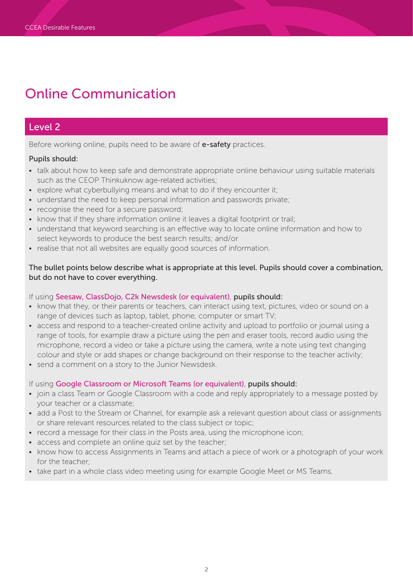## Level 2

Before working online, pupils need to be aware of e-safety practices.

### Pupils should:

- talk about how to keep safe and demonstrate appropriate online behaviour using suitable materials such as the CEOP Thinkuknow age-related activities;
- explore what cyberbullying means and what to do if they encounter it;
- understand the need to keep personal information and passwords private;
- recognise the need for a secure password:
- know that if they share information online it leaves a digital footprint or trail;
- understand that keyword searching is an effective way to locate online information and how to select keywords to produce the best search results; and/or
- realise that not all websites are equally good sources of information.

The bullet points below describe what is appropriate at this level. Pupils should cover a combination, but do not have to cover everything.

### If using Seesaw, ClassDojo, C2k Newsdesk (or equivalent), pupils should:

- know that they, or their parents or teachers, can interact using text, pictures, video or sound on a range of devices such as laptop, tablet, phone, computer or smart TV;
- access and respond to a teacher-created online activity and upload to portfolio or journal using a range of tools, for example draw a picture using the pen and eraser tools, record audio using the microphone, record a video or take a picture using the camera, write a note using text changing colour and style or add shapes or change background on their response to the teacher activity;
- send a comment on a story to the Junior Newsdesk.

If using Google Classroom or Microsoft Teams (or equivalent), pupils should:

- join a class Team or Google Classroom with a code and reply appropriately to a message posted by your teacher or a classmate;
- add a Post to the Stream or Channel, for example ask a relevant question about class or assignments or share relevant resources related to the class subject or topic;
- record a message for their class in the Posts area, using the microphone icon;
- access and complete an online quiz set by the teacher;
- know how to access Assignments in Teams and attach a piece of work or a photograph of your work for the teacher;
- take part in a whole class video meeting using for example Google Meet or MS Teams.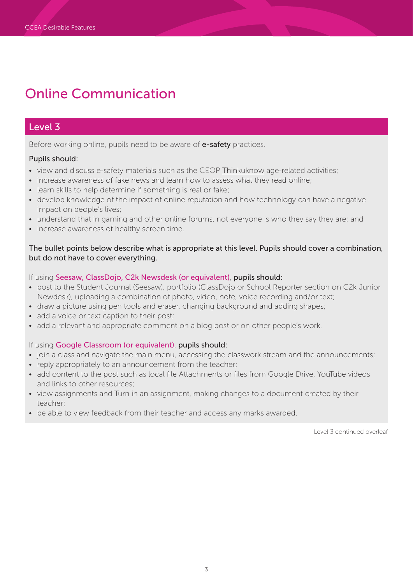## Level 3

Before working online, pupils need to be aware of e-safety practices.

### Pupils should:

- view and discuss e-safety materials such as the CEOP [Thinkuknow](https://www.thinkuknow.co.uk) age-related activities;
- increase awareness of fake news and learn how to assess what they read online:
- learn skills to help determine if something is real or fake;
- develop knowledge of the impact of online reputation and how technology can have a negative impact on people's lives;
- understand that in gaming and other online forums, not everyone is who they say they are; and
- increase awareness of healthy screen time.

### The bullet points below describe what is appropriate at this level. Pupils should cover a combination, but do not have to cover everything.

### If using Seesaw, ClassDojo, C2k Newsdesk (or equivalent), pupils should:

- post to the Student Journal (Seesaw), portfolio (ClassDojo or School Reporter section on C2k Junior Newdesk), uploading a combination of photo, video, note, voice recording and/or text;
- draw a picture using pen tools and eraser, changing background and adding shapes;
- add a voice or text caption to their post;
- add a relevant and appropriate comment on a blog post or on other people's work.

### If using Google Classroom (or equivalent), pupils should:

- join a class and navigate the main menu, accessing the classwork stream and the announcements;
- reply appropriately to an announcement from the teacher;
- add content to the post such as local file Attachments or files from Google Drive, YouTube videos and links to other resources;
- view assignments and Turn in an assignment, making changes to a document created by their teacher;
- be able to view feedback from their teacher and access any marks awarded.

Level 3 continued overleaf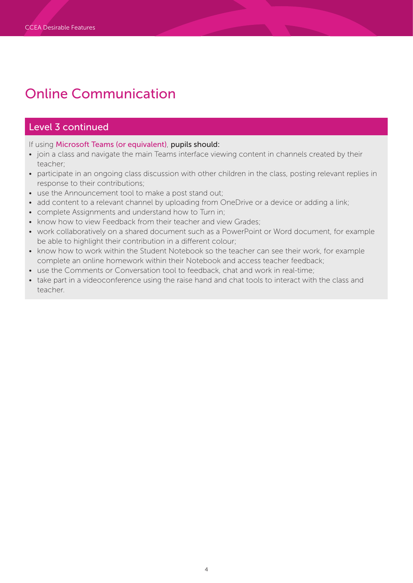# Level 3 continued

If using Microsoft Teams (or equivalent), pupils should:

- join a class and navigate the main Teams interface viewing content in channels created by their teacher;
- participate in an ongoing class discussion with other children in the class, posting relevant replies in response to their contributions;
- use the Announcement tool to make a post stand out;
- add content to a relevant channel by uploading from OneDrive or a device or adding a link;
- complete Assignments and understand how to Turn in;
- know how to view Feedback from their teacher and view Grades;
- work collaboratively on a shared document such as a PowerPoint or Word document, for example be able to highlight their contribution in a different colour;
- know how to work within the Student Notebook so the teacher can see their work, for example complete an online homework within their Notebook and access teacher feedback;
- use the Comments or Conversation tool to feedback, chat and work in real-time;
- take part in a videoconference using the raise hand and chat tools to interact with the class and teacher.